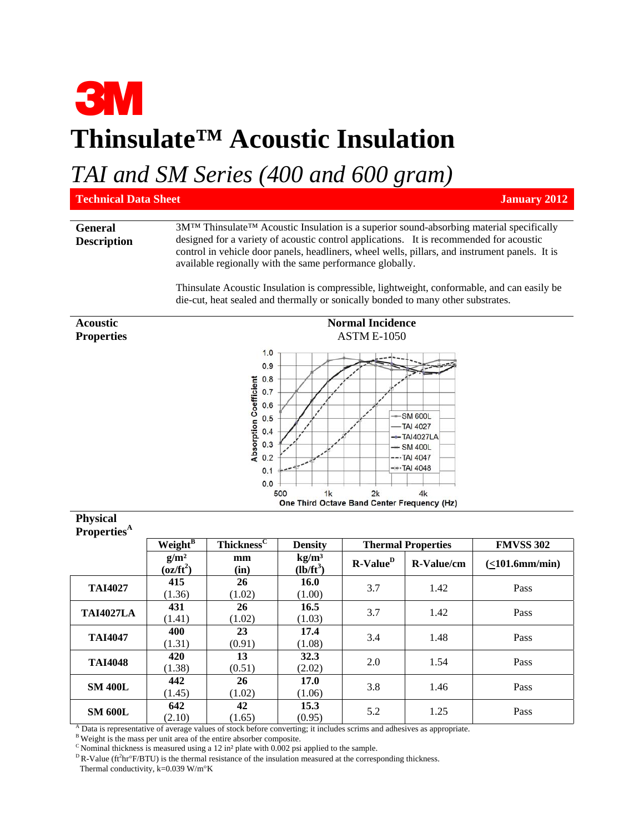## **3M Thinsulate™ Acoustic Insulation**

*TAI and SM Series (400 and 600 gram)*

| <b>Technical Data Sheet</b>          | <b>January 2012</b>                                                                                                                                                                                                                                                                                                                                                                                                                              |  |  |  |  |  |  |
|--------------------------------------|--------------------------------------------------------------------------------------------------------------------------------------------------------------------------------------------------------------------------------------------------------------------------------------------------------------------------------------------------------------------------------------------------------------------------------------------------|--|--|--|--|--|--|
| <b>General</b><br><b>Description</b> | 3M™ Thinsulate™ Acoustic Insulation is a superior sound-absorbing material specifically<br>designed for a variety of acoustic control applications. It is recommended for acoustic<br>control in vehicle door panels, headliners, wheel wells, pillars, and instrument panels. It is<br>available regionally with the same performance globally.<br>Thin sulate Acoustic Insulation is compressible, lightweight, conformable, and can easily be |  |  |  |  |  |  |
|                                      | die-cut, heat sealed and thermally or sonically bonded to many other substrates.                                                                                                                                                                                                                                                                                                                                                                 |  |  |  |  |  |  |
| <b>Acoustic</b>                      | <b>Normal Incidence</b>                                                                                                                                                                                                                                                                                                                                                                                                                          |  |  |  |  |  |  |
| <b>Properties</b>                    | <b>ASTM E-1050</b><br>1.0<br>0.9<br><b>coefficient</b><br>0.8<br>0.7<br>0.6                                                                                                                                                                                                                                                                                                                                                                      |  |  |  |  |  |  |

|                                                                                                     | Twi mai muuente<br><b>ASTM E-1050</b>                                                          |  |  |  |  |
|-----------------------------------------------------------------------------------------------------|------------------------------------------------------------------------------------------------|--|--|--|--|
| 1.0<br>0.9<br>0.8<br><b>Absorption Coefficient</b><br>0.7<br>0.6<br>0.5<br>0.4<br>0.3<br>0.2<br>0.1 | $-$ SM 600L<br>$-$ TAI 4027<br>$-$ -TAI4027LA<br>$-$ SM 400L<br>$--$ TAI 4047<br>$-$ -TAI 4048 |  |  |  |  |
| 0.0<br>500<br>1k<br>One Third Octave Band Center Frequency (Hz)                                     | 2k<br>4k                                                                                       |  |  |  |  |

| Properties <sup>A</sup> |                                          |                        |                                  |                           |            |                      |
|-------------------------|------------------------------------------|------------------------|----------------------------------|---------------------------|------------|----------------------|
|                         | $Weight^B$                               | Thickness <sup>C</sup> | <b>Density</b>                   | <b>Thermal Properties</b> |            | <b>FMVSS 302</b>     |
|                         | $g/m^2$<br>$\overline{\text{(oz/ft}^2)}$ | mm<br>(in)             | kg/m <sup>3</sup><br>$(lb/ft^3)$ | $R-ValueD$                | R-Value/cm | $(<101.6$ mm/min $)$ |
| <b>TAI4027</b>          | 415<br>(1.36)                            | 26<br>(1.02)           | 16.0<br>(1.00)                   | 3.7                       | 1.42       | Pass                 |
| <b>TAI4027LA</b>        | 431<br>(1.41)                            | 26<br>(1.02)           | 16.5<br>(1.03)                   | 3.7                       | 1.42       | Pass                 |
| <b>TAI4047</b>          | 400<br>(1.31)                            | 23<br>(0.91)           | 17.4<br>(1.08)                   | 3.4                       | 1.48       | Pass                 |
| <b>TAI4048</b>          | 420<br>(1.38)                            | 13<br>(0.51)           | 32.3<br>(2.02)                   | 2.0                       | 1.54       | Pass                 |
| <b>SM 400L</b>          | 442<br>(1.45)                            | 26<br>(1.02)           | 17.0<br>(1.06)                   | 3.8                       | 1.46       | Pass                 |
| <b>SM 600L</b>          | 642<br>(2.10)                            | 42<br>(1.65)           | 15.3<br>(0.95)                   | 5.2                       | 1.25       | Pass                 |

A Data is representative of average values of stock before converting; it includes scrims and adhesives as appropriate.<br><sup>B</sup> Weight is the mass per unit area of the entire absorber composite.<br><sup>C</sup> Nominal thickness is measu

**Physical** 

<sup>D</sup>R-Value (ft<sup>2</sup>hr°F/BTU) is the thermal resistance of the insulation measured at the corresponding thickness. Thermal conductivity,  $k=0.039$  W/m $\mathrm{K}$